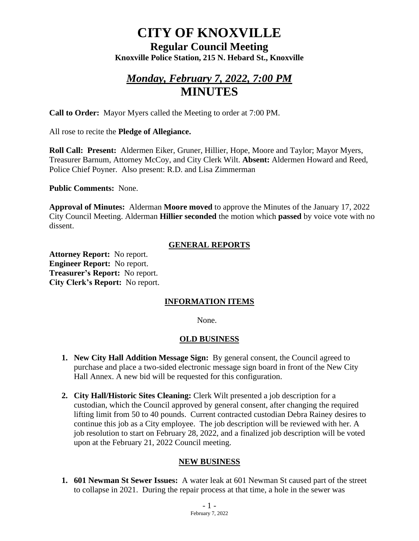# **CITY OF KNOXVILLE**

**Regular Council Meeting Knoxville Police Station, 215 N. Hebard St., Knoxville**

## *Monday, February 7, 2022, 7:00 PM* **MINUTES**

**Call to Order:** Mayor Myers called the Meeting to order at 7:00 PM.

All rose to recite the **Pledge of Allegiance.**

**Roll Call: Present:** Aldermen Eiker, Gruner, Hillier, Hope, Moore and Taylor; Mayor Myers, Treasurer Barnum, Attorney McCoy, and City Clerk Wilt. **Absent:** Aldermen Howard and Reed, Police Chief Poyner. Also present: R.D. and Lisa Zimmerman

**Public Comments:** None.

**Approval of Minutes:** Alderman **Moore moved** to approve the Minutes of the January 17, 2022 City Council Meeting. Alderman **Hillier seconded** the motion which **passed** by voice vote with no dissent.

#### **GENERAL REPORTS**

**Attorney Report:** No report. **Engineer Report:** No report. **Treasurer's Report:** No report. **City Clerk's Report:** No report.

### **INFORMATION ITEMS**

None.

#### **OLD BUSINESS**

- **1. New City Hall Addition Message Sign:** By general consent, the Council agreed to purchase and place a two-sided electronic message sign board in front of the New City Hall Annex. A new bid will be requested for this configuration.
- **2. City Hall/Historic Sites Cleaning:** Clerk Wilt presented a job description for a custodian, which the Council approved by general consent, after changing the required lifting limit from 50 to 40 pounds. Current contracted custodian Debra Rainey desires to continue this job as a City employee. The job description will be reviewed with her. A job resolution to start on February 28, 2022, and a finalized job description will be voted upon at the February 21, 2022 Council meeting.

#### **NEW BUSINESS**

**1. 601 Newman St Sewer Issues:** A water leak at 601 Newman St caused part of the street to collapse in 2021. During the repair process at that time, a hole in the sewer was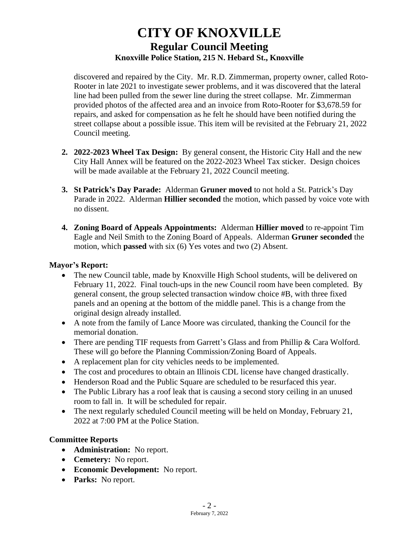## **CITY OF KNOXVILLE Regular Council Meeting Knoxville Police Station, 215 N. Hebard St., Knoxville**

discovered and repaired by the City. Mr. R.D. Zimmerman, property owner, called Roto-Rooter in late 2021 to investigate sewer problems, and it was discovered that the lateral line had been pulled from the sewer line during the street collapse. Mr. Zimmerman provided photos of the affected area and an invoice from Roto-Rooter for \$3,678.59 for repairs, and asked for compensation as he felt he should have been notified during the street collapse about a possible issue. This item will be revisited at the February 21, 2022 Council meeting.

- **2. 2022-2023 Wheel Tax Design:** By general consent, the Historic City Hall and the new City Hall Annex will be featured on the 2022-2023 Wheel Tax sticker. Design choices will be made available at the February 21, 2022 Council meeting.
- **3. St Patrick's Day Parade:** Alderman **Gruner moved** to not hold a St. Patrick's Day Parade in 2022. Alderman **Hillier seconded** the motion, which passed by voice vote with no dissent.
- **4. Zoning Board of Appeals Appointments:** Alderman **Hillier moved** to re-appoint Tim Eagle and Neil Smith to the Zoning Board of Appeals. Alderman **Gruner seconded** the motion, which **passed** with six (6) Yes votes and two (2) Absent.

#### **Mayor's Report:**

- The new Council table, made by Knoxville High School students, will be delivered on February 11, 2022. Final touch-ups in the new Council room have been completed. By general consent, the group selected transaction window choice #B, with three fixed panels and an opening at the bottom of the middle panel. This is a change from the original design already installed.
- A note from the family of Lance Moore was circulated, thanking the Council for the memorial donation.
- There are pending TIF requests from Garrett's Glass and from Phillip & Cara Wolford. These will go before the Planning Commission/Zoning Board of Appeals.
- A replacement plan for city vehicles needs to be implemented.
- The cost and procedures to obtain an Illinois CDL license have changed drastically.
- Henderson Road and the Public Square are scheduled to be resurfaced this year.
- The Public Library has a roof leak that is causing a second story ceiling in an unused room to fall in. It will be scheduled for repair.
- The next regularly scheduled Council meeting will be held on Monday, February 21, 2022 at 7:00 PM at the Police Station.

### **Committee Reports**

- **Administration:** No report.
- **Cemetery:** No report.
- **Economic Development:** No report.
- **Parks:** No report.